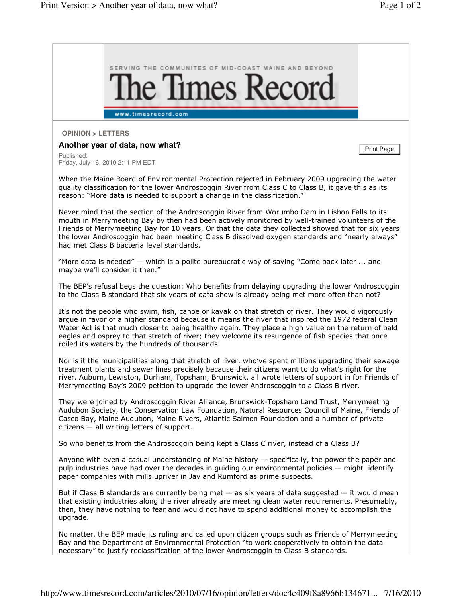